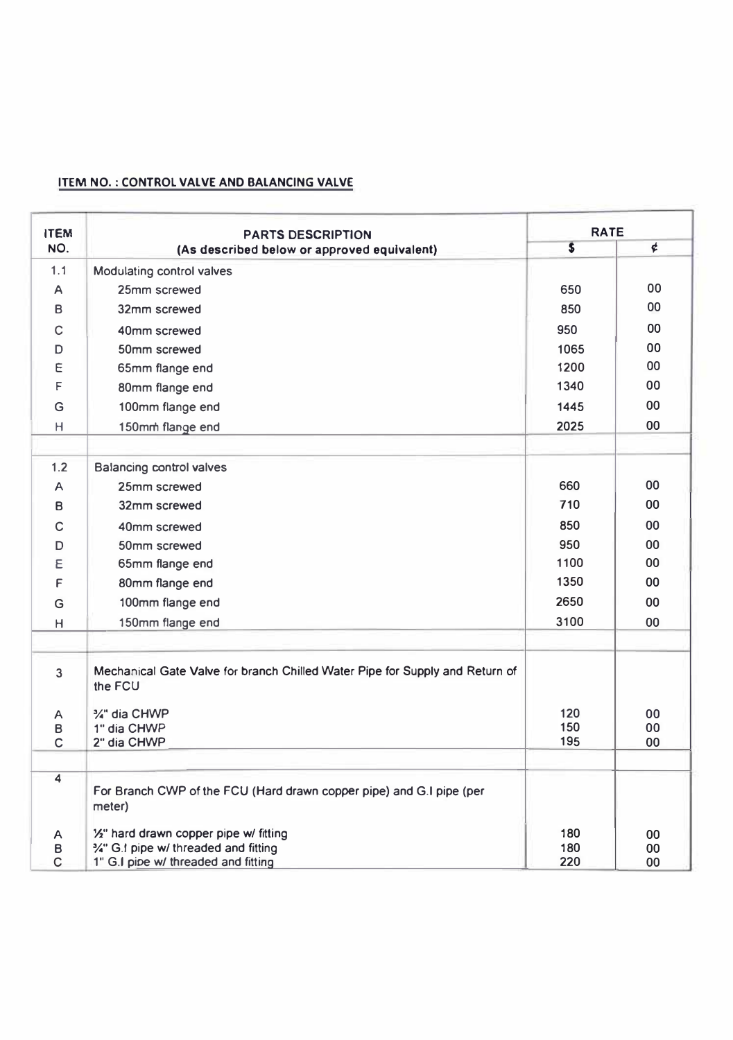## **ITEM NO. : CONTROL VALVE AND BALANCING VALVE**

| NO.<br>1.1        | <b>PARTS DESCRIPTION</b><br>(As described below or approved equivalent)<br>Modulating control valves | $\overline{\mathbf{s}}$ | ¢        |
|-------------------|------------------------------------------------------------------------------------------------------|-------------------------|----------|
|                   |                                                                                                      |                         |          |
|                   |                                                                                                      |                         |          |
| А                 | 25mm screwed                                                                                         | 650                     | 00       |
| B                 | 32mm screwed                                                                                         | 850                     | 00       |
| C                 | 40mm screwed                                                                                         | 950                     | 00       |
| D                 | 50mm screwed                                                                                         | 1065                    | 00       |
| E                 | 65mm flange end                                                                                      | 1200                    | 00       |
| F                 | 80mm flange end                                                                                      | 1340                    | 00       |
| G                 | 100mm flange end                                                                                     | 1445                    | 00       |
| Н                 | 150mm flange end                                                                                     | 2025                    | 00       |
|                   |                                                                                                      |                         |          |
| 1.2               | Balancing control valves                                                                             |                         |          |
| A                 | 25mm screwed                                                                                         | 660                     | 00       |
| B                 | 32mm screwed                                                                                         | 710                     | 00       |
| C                 | 40mm screwed                                                                                         | 850                     | 00       |
| D                 | 50mm screwed                                                                                         | 950                     | 00       |
| Ε                 | 65mm flange end                                                                                      | 1100                    | 00       |
| F                 | 80mm flange end                                                                                      | 1350                    | 00       |
| G                 | 100mm flange end                                                                                     | 2650                    | 00       |
| H                 | 150mm flange end                                                                                     | 3100                    | 00       |
|                   |                                                                                                      |                         |          |
| 3                 | Mechanical Gate Valve for branch Chilled Water Pipe for Supply and Return of<br>the FCU              |                         |          |
| Α                 | %" dia CHWP                                                                                          | 120                     | 00       |
| в                 | 1" dia CHWP                                                                                          | 150                     | 00       |
| C                 | 2" dia CHWP                                                                                          | 195                     | 00       |
| 4                 | For Branch CWP of the FCU (Hard drawn copper pipe) and G.I pipe (per<br>meter)                       |                         |          |
| А                 | 1/2" hard drawn copper pipe w/ fitting                                                               | 180                     | 00       |
| B<br>$\mathsf{C}$ | %" G.I pipe w/ threaded and fitting<br>1" G.I pipe w/ threaded and fitting                           | 180<br>220              | 00<br>00 |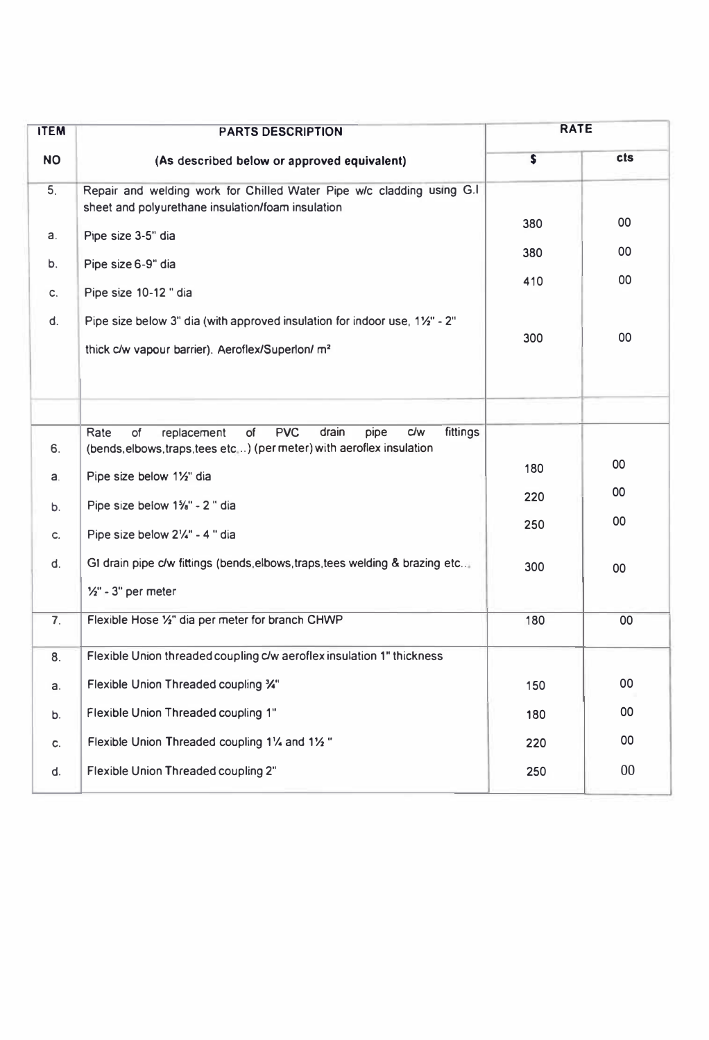| <b>ITEM</b>    | <b>PARTS DESCRIPTION</b>                                                                                                                                          | <b>RATE</b> |        |
|----------------|-------------------------------------------------------------------------------------------------------------------------------------------------------------------|-------------|--------|
| <b>NO</b>      | (As described below or approved equivalent)                                                                                                                       | s           | cts    |
| 5.             | Repair and welding work for Chilled Water Pipe w/c cladding using G.I<br>sheet and polyurethane insulation/foam insulation                                        | 380         | 00     |
| a.             | Pipe size 3-5" dia                                                                                                                                                |             | 00     |
| b.             | Pipe size 6-9" dia                                                                                                                                                | 380         |        |
| c.             | Pipe size 10-12 " dia                                                                                                                                             | 410         | 00     |
| d.             | Pipe size below 3" dia (with approved insulation for indoor use, 1½" - 2"<br>thick c/w vapour barrier). Aeroflex/Superlon/ m <sup>2</sup>                         | 300         | 00     |
| 6.             | <b>PVC</b><br>Rate<br>of<br>of<br><b>c/w</b><br>fittings<br>replacement<br>drain<br>pipe<br>(bends, elbows, traps, tees etc) (per meter) with aeroflex insulation |             |        |
| a.             | Pipe size below 11/2" dia                                                                                                                                         | 180         | 00     |
| b.             | Pipe size below 1%" - 2 " dia                                                                                                                                     | 220         | 00     |
| c.             | Pipe size below 21/4" - 4 " dia                                                                                                                                   | 250         | 00     |
| d.             | GI drain pipe c/w fittings (bends, elbows, traps, tees welding & brazing etc                                                                                      | 300         | 00     |
|                | $\frac{1}{2}$ " - 3" per meter                                                                                                                                    |             |        |
| 7 <sub>1</sub> | Flexible Hose 1/2" dia per meter for branch CHWP                                                                                                                  | 180         | 00     |
| 8.             | Flexible Union threaded coupling c/w aeroflex insulation 1" thickness                                                                                             |             |        |
| a.             | Flexible Union Threaded coupling %"                                                                                                                               | 150         | 00     |
| b.             | Flexible Union Threaded coupling 1"                                                                                                                               | 180         | 00     |
| c.             | Flexible Union Threaded coupling 11/4 and 11/2"                                                                                                                   | 220         | 00     |
| d.             | Flexible Union Threaded coupling 2"                                                                                                                               | 250         | $00\,$ |